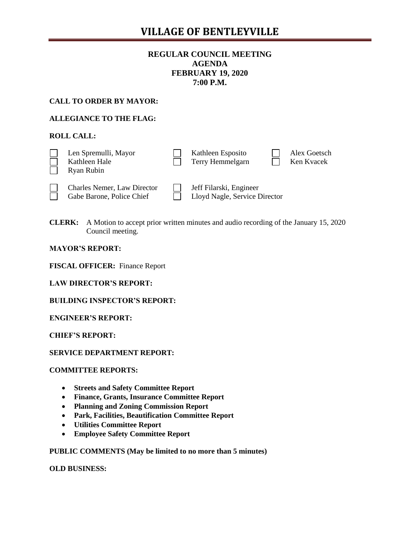# **VILLAGE OF BENTLEYVILLE**

# **REGULAR COUNCIL MEETING AGENDA FEBRUARY 19, 2020 7:00 P.M.**

## **CALL TO ORDER BY MAYOR:**

# **ALLEGIANCE TO THE FLAG:**

# **ROLL CALL:**

| Len Spremulli, Mayor<br>Kathleen Hale<br>Ryan Rubin             | Kathleen Esposito<br>Terry Hemmelgarn                    |  | Alex Goetsch<br>Ken Kvacek |
|-----------------------------------------------------------------|----------------------------------------------------------|--|----------------------------|
| <b>Charles Nemer, Law Director</b><br>Gabe Barone, Police Chief | Jeff Filarski, Engineer<br>Lloyd Nagle, Service Director |  |                            |

**CLERK:** A Motion to accept prior written minutes and audio recording of the January 15, 2020 Council meeting.

#### **MAYOR'S REPORT:**

**FISCAL OFFICER:** Finance Report

|  | <b>LAW DIRECTOR'S REPORT:</b> |  |  |  |
|--|-------------------------------|--|--|--|
|--|-------------------------------|--|--|--|

#### **BUILDING INSPECTOR'S REPORT:**

#### **ENGINEER'S REPORT:**

#### **CHIEF'S REPORT:**

#### **SERVICE DEPARTMENT REPORT:**

#### **COMMITTEE REPORTS:**

- **Streets and Safety Committee Report**
- **Finance, Grants, Insurance Committee Report**
- **Planning and Zoning Commission Report**
- **Park, Facilities, Beautification Committee Report**
- **Utilities Committee Report**
- **Employee Safety Committee Report**

#### **PUBLIC COMMENTS (May be limited to no more than 5 minutes)**

#### **OLD BUSINESS:**